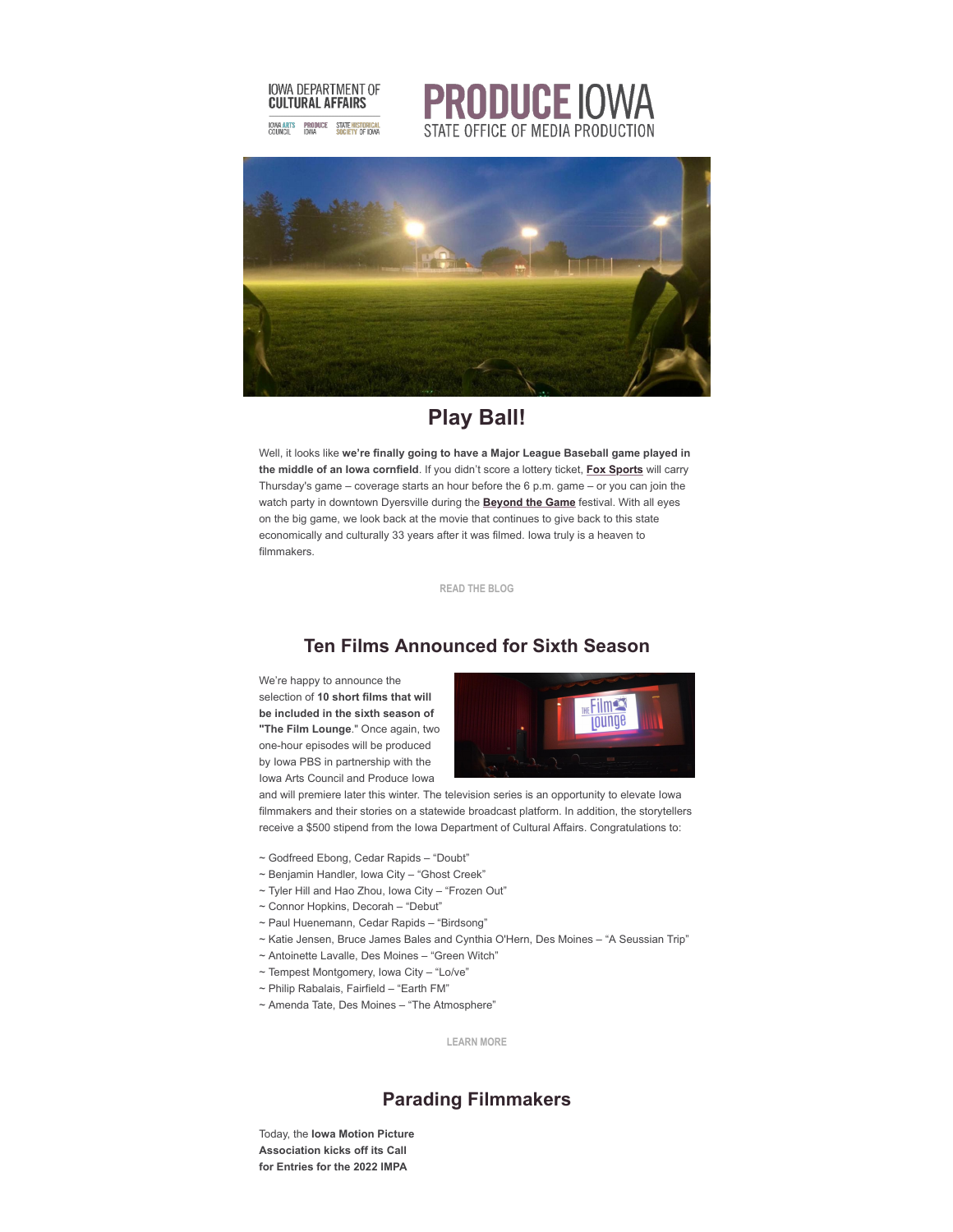





## **Play Ball!**

Well, it looks like **we're finally going to have a Major League Baseball game played in the middle of an Iowa cornfield**. If you didn't score a lottery ticket, **[Fox Sports](https://r20.rs6.net/tn.jsp?f=001SWsxLcdIZXhV7bbKcLN4QHNoBcXPiP5RyMc3j7u74xKHSNy5IWT-Q5j6qYExTKRE9bEqTW6RHryptQBxNMsZJD6j-Z7F0rYvMFpiyv7pGRULNWkYXyzmWjGeIuWU6ddWeGddOw3voCeLz0IcJEj39T1_uE_MpRFN54-fbXBxKo6KIlxZGObt8Hp3uafDU_CWf2jFru-aUdDWqA8p8eLWQ6XvCdx6khPEWGxCXKFhA2LRMh98w19cs3hKYkY1MXONP2q6tRWUtVYQaErrtmhBnXhYPV4DSXpk&c=iJmm6JAi7T1pJBiUZ_InGWnTUEUyNn56WCHDg7ItFlXAh4EcQ12uoQ==&ch=1k3GKUef-o-zjsVuE5gRbrD7q_sBMnFhAmxJSMkfgNuPQl8DfMZO9Q==)** will carry Thursday's game – coverage starts an hour before the 6 p.m. game – or you can join the watch party in downtown Dyersville during the **[Beyond the Game](https://r20.rs6.net/tn.jsp?f=001SWsxLcdIZXhV7bbKcLN4QHNoBcXPiP5RyMc3j7u74xKHSNy5IWT-Q5j6qYExTKRE_VKftxaGaE2eKstpgzUBtkOnk6tUHhJHmPCF9EUtGTwl2-mMbSrDEDFVjs_HCcytZDhrH22VGBX-9m7qCBAR5aqCMLv8pxMQ&c=iJmm6JAi7T1pJBiUZ_InGWnTUEUyNn56WCHDg7ItFlXAh4EcQ12uoQ==&ch=1k3GKUef-o-zjsVuE5gRbrD7q_sBMnFhAmxJSMkfgNuPQl8DfMZO9Q==)** festival. With all eyes on the big game, we look back at the movie that continues to give back to this state economically and culturally 33 years after it was filmed. Iowa truly is a heaven to filmmakers.

**[READ THE BLOG](https://r20.rs6.net/tn.jsp?f=001SWsxLcdIZXhV7bbKcLN4QHNoBcXPiP5RyMc3j7u74xKHSNy5IWT-Q5j6qYExTKREf01o0NiImyM_3gi3oiNrAjoWbMEcUl_3O50mgIXKrJ3RORBEEHDw3nxbhTEg0NOo9pK_zzegQc3Pqolo8dG6k048n53CSPkgMg_wrr3IDCW7a6T1J8qdiEwHehaY3dDqXB2QdKA8HDObKuSpJERKRNkpm7Mofv-kX2uWoyYXoOB8H5z7rtnYNsC_S4p-jnrz&c=iJmm6JAi7T1pJBiUZ_InGWnTUEUyNn56WCHDg7ItFlXAh4EcQ12uoQ==&ch=1k3GKUef-o-zjsVuE5gRbrD7q_sBMnFhAmxJSMkfgNuPQl8DfMZO9Q==)**

## **Ten Films Announced for Sixth Season**

We're happy to announce the selection of **10 short films that will be included in the sixth season of "The Film Lounge**." Once again, two one-hour episodes will be produced by Iowa PBS in partnership with the Iowa Arts Council and Produce Iowa



and will premiere later this winter. The television series is an opportunity to elevate Iowa filmmakers and their stories on a statewide broadcast platform. In addition, the storytellers receive a \$500 stipend from the Iowa Department of Cultural Affairs. Congratulations to:

- ~ Godfreed Ebong, Cedar Rapids "Doubt"
- ~ Benjamin Handler, Iowa City "Ghost Creek"
- ~ Tyler Hill and Hao Zhou, Iowa City "Frozen Out"
- ~ Connor Hopkins, Decorah "Debut"
- ~ Paul Huenemann, Cedar Rapids "Birdsong"
- ~ Katie Jensen, Bruce James Bales and Cynthia O'Hern, Des Moines "A Seussian Trip"
- ~ Antoinette Lavalle, Des Moines "Green Witch"
- ~ Tempest Montgomery, Iowa City "Lo/ve"
- ~ Philip Rabalais, Fairfield "Earth FM"
- ~ Amenda Tate, Des Moines "The Atmosphere"

**[LEARN MORE](https://r20.rs6.net/tn.jsp?f=001SWsxLcdIZXhV7bbKcLN4QHNoBcXPiP5RyMc3j7u74xKHSNy5IWT-QwZzhgbpEccEcwshumQ6ff0b6UKKDpRYLcMIQnTjr7ZpETlnioWIzlsGuVjHBoDBr-TWPJPhVqiz9NChusEUIOAz41BhBnEwAxf539_lVAUsNShAbiYfJhc=&c=iJmm6JAi7T1pJBiUZ_InGWnTUEUyNn56WCHDg7ItFlXAh4EcQ12uoQ==&ch=1k3GKUef-o-zjsVuE5gRbrD7q_sBMnFhAmxJSMkfgNuPQl8DfMZO9Q==)**

### **Parading Filmmakers**

Today, the **Iowa Motion Picture Association kicks off its Call for Entries for the 2022 IMPA**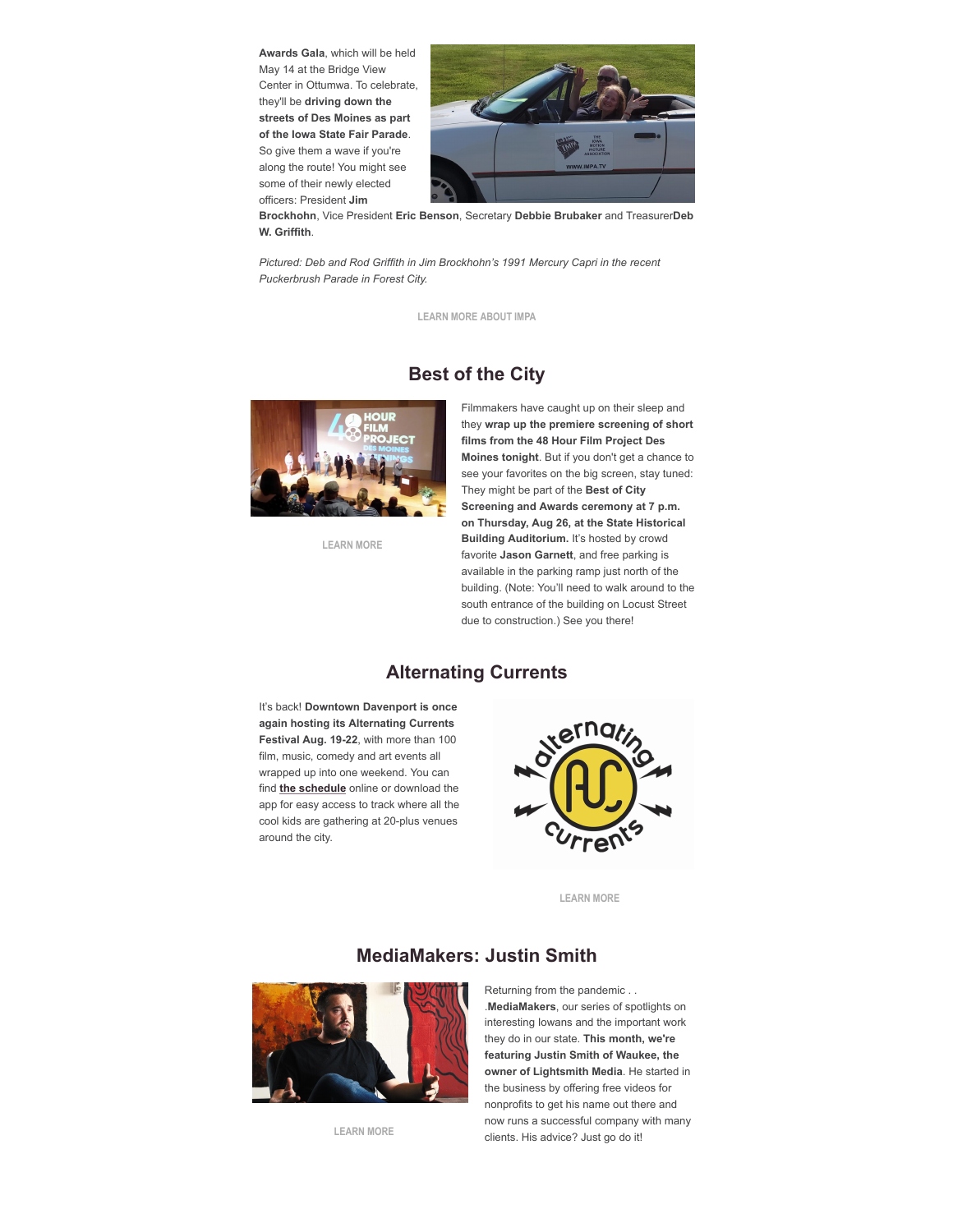**Awards Gala**, which will be held May 14 at the Bridge View Center in Ottumwa. To celebrate, they'll be **driving down the streets of Des Moines as part of the Iowa State Fair Parade**. So give them a wave if you're along the route! You might see some of their newly elected officers: President **Jim**



**Brockhohn**, Vice President **Eric Benson**, Secretary **Debbie Brubaker** and Treasurer**Deb W. Griffith**.

*Pictured: Deb and Rod Griffith in Jim Brockhohn's 1991 Mercury Capri in the recent Puckerbrush Parade in Forest City.*

**[LEARN MORE ABOUT IMPA](https://r20.rs6.net/tn.jsp?f=001SWsxLcdIZXhV7bbKcLN4QHNoBcXPiP5RyMc3j7u74xKHSNy5IWT-Q5cVLkFGWZ9MiDrRJRDUoWmF3S4no3qmb2n-s2UIgwIK8_BSzEcfrQZ5vCEFt2Ivs79yVyU9xk17S8kkcENYT2g=&c=iJmm6JAi7T1pJBiUZ_InGWnTUEUyNn56WCHDg7ItFlXAh4EcQ12uoQ==&ch=1k3GKUef-o-zjsVuE5gRbrD7q_sBMnFhAmxJSMkfgNuPQl8DfMZO9Q==)**

### **Best of the City**



**[LEARN MORE](https://r20.rs6.net/tn.jsp?f=001SWsxLcdIZXhV7bbKcLN4QHNoBcXPiP5RyMc3j7u74xKHSNy5IWT-Q2Weoo3ptV8ZLlz_8o-dHOs7_Rajychbj7RMCli64rxbCaGzR1P9cb6sQ-0I6RhnxTFF2RE5Ix_lIRNaGIN-Xy1W6lhnnnKoVy7Vc6l1ize6GKi62KtbEvM=&c=iJmm6JAi7T1pJBiUZ_InGWnTUEUyNn56WCHDg7ItFlXAh4EcQ12uoQ==&ch=1k3GKUef-o-zjsVuE5gRbrD7q_sBMnFhAmxJSMkfgNuPQl8DfMZO9Q==)**

Filmmakers have caught up on their sleep and they **wrap up the premiere screening of short films from the 48 Hour Film Project Des Moines tonight**. But if you don't get a chance to see your favorites on the big screen, stay tuned: They might be part of the **Best of City Screening and Awards ceremony at 7 p.m. on Thursday, Aug 26, at the State Historical Building Auditorium.** It's hosted by crowd favorite **Jason Garnett**, and free parking is available in the parking ramp just north of the building. (Note: You'll need to walk around to the south entrance of the building on Locust Street due to construction.) See you there!

#### **Alternating Currents**

It's back! **Downtown Davenport is once again hosting its Alternating Currents Festival Aug. 19-22**, with more than 100 film, music, comedy and art events all wrapped up into one weekend. You can find **[the schedule](https://r20.rs6.net/tn.jsp?f=001SWsxLcdIZXhV7bbKcLN4QHNoBcXPiP5RyMc3j7u74xKHSNy5IWT-Q2zLPHXH0eEhWNVw12Sa7t-i-qT4gxm9tKCt2VD7KwYGacYfZNJXwm-WKEMJCmmkeiJU5fWuuzZVBLi2QYOmoG9CQY7VMcPB16HkKBzBgFv-&c=iJmm6JAi7T1pJBiUZ_InGWnTUEUyNn56WCHDg7ItFlXAh4EcQ12uoQ==&ch=1k3GKUef-o-zjsVuE5gRbrD7q_sBMnFhAmxJSMkfgNuPQl8DfMZO9Q==)** online or download the app for easy access to track where all the cool kids are gathering at 20-plus venues around the city.



**[LEARN MORE](https://r20.rs6.net/tn.jsp?f=001SWsxLcdIZXhV7bbKcLN4QHNoBcXPiP5RyMc3j7u74xKHSNy5IWT-Q2zLPHXH0eEhWNVw12Sa7t-i-qT4gxm9tKCt2VD7KwYGacYfZNJXwm-WKEMJCmmkeiJU5fWuuzZVBLi2QYOmoG9CQY7VMcPB16HkKBzBgFv-&c=iJmm6JAi7T1pJBiUZ_InGWnTUEUyNn56WCHDg7ItFlXAh4EcQ12uoQ==&ch=1k3GKUef-o-zjsVuE5gRbrD7q_sBMnFhAmxJSMkfgNuPQl8DfMZO9Q==)**

## **MediaMakers: Justin Smith**



**[LEARN MORE](https://r20.rs6.net/tn.jsp?f=001SWsxLcdIZXhV7bbKcLN4QHNoBcXPiP5RyMc3j7u74xKHSNy5IWT-Q5j6qYExTKREvoGcGvz8DvhY5r9--n2JGRW173EKtwEGhnsF311fYLku7w5MgqEmDGyZ_8joXRExD5NG7HifFyV822SeWFQXQA==&c=iJmm6JAi7T1pJBiUZ_InGWnTUEUyNn56WCHDg7ItFlXAh4EcQ12uoQ==&ch=1k3GKUef-o-zjsVuE5gRbrD7q_sBMnFhAmxJSMkfgNuPQl8DfMZO9Q==)**

#### Returning from the pandemic . . .**MediaMakers**, our series of spotlights on interesting Iowans and the important work they do in our state. **This month, we're featuring Justin Smith of Waukee, the owner of Lightsmith Media**. He started in the business by offering free videos for nonprofits to get his name out there and now runs a successful company with many clients. His advice? Just go do it!